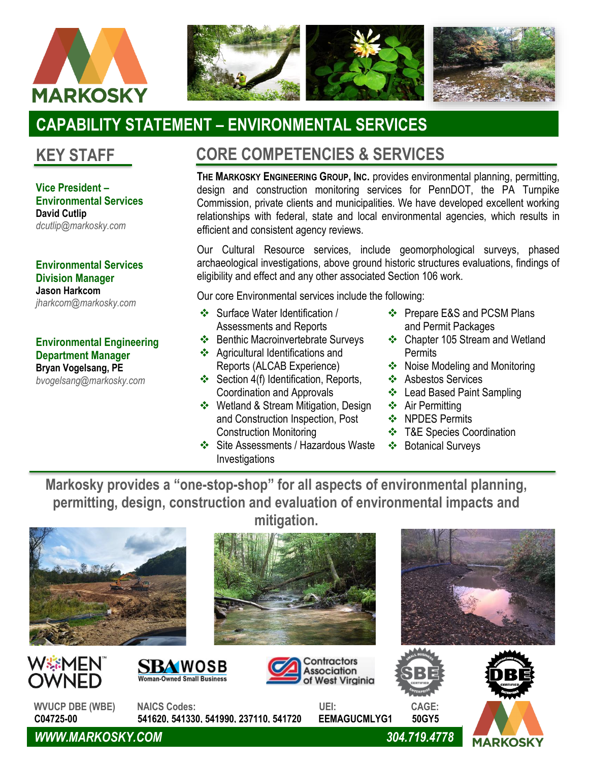



# **CAPABILITY STATEMENT – ENVIRONMENTAL SERVICES**

**Vice President – Environmental Services David Cutlip** *dcutlip@markosky.com*

**Environmental Services Division Manager Jason Harkcom** *jharkcom@markosky.com*

#### **Environmental Engineering Department Manager Bryan Vogelsang, PE**

*bvogelsang@markosky.com*

## **KEY STAFF CORE COMPETENCIES & SERVICES**

**THE MARKOSKY ENGINEERING GROUP, INC.** provides environmental planning, permitting, design and construction monitoring services for PennDOT, the PA Turnpike Commission, private clients and municipalities. We have developed excellent working relationships with federal, state and local environmental agencies, which results in efficient and consistent agency reviews.

Our Cultural Resource services, include geomorphological surveys, phased archaeological investigations, above ground historic structures evaluations, findings of eligibility and effect and any other associated Section 106 work.

Our core Environmental services include the following:

- ❖ Surface Water Identification / Assessments and Reports
- ❖ Benthic Macroinvertebrate Surveys
- ❖ Agricultural Identifications and Reports (ALCAB Experience)
- ❖ Section 4(f) Identification, Reports, Coordination and Approvals
- ❖ Wetland & Stream Mitigation, Design and Construction Inspection, Post Construction Monitoring
- ❖ Site Assessments / Hazardous Waste Investigations
- ❖ Prepare E&S and PCSM Plans and Permit Packages
- ❖ Chapter 105 Stream and Wetland **Permits**
- ❖ Noise Modeling and Monitoring
- ❖ Asbestos Services
- ❖ Lead Based Paint Sampling
- ❖ Air Permitting
- ❖ NPDES Permits
- ❖ T&E Species Coordination
- ❖ Botanical Surveys

**Markosky provides a "one-stop-shop" for all aspects of environmental planning, permitting, design, construction and evaluation of environmental impacts and mitigation.**